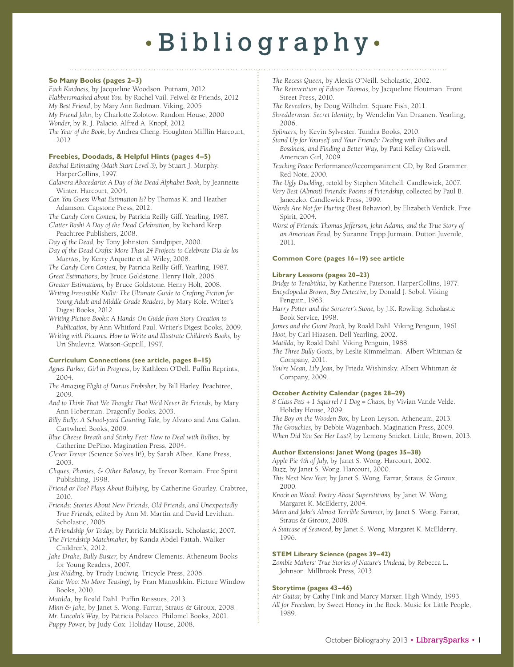# • Bibliography •

## **So Many Books (pages 2–3)**

*Each Kindness*, by Jacqueline Woodson. Putnam, 2012 *Flabbersmashed about You*, by Rachel Vail. Feiwel & Friends, 2012 *My Best Friend*, by Mary Ann Rodman. Viking, 2005 *My Friend John*, by Charlotte Zolotow. Random House, 2000

*Wonder*, by R. J. Palacio. Alfred A. Knopf, 2012

*The Year of the Book*, by Andrea Cheng. Houghton Mifflin Harcourt, 2012

# **Freebies, Doodads, & Helpful Hints (pages 4–5)**

*Betcha! Estimating (Math Start Level 3),* by Stuart J. Murphy. HarperCollins, 1997.

*Calavera Abecedario: A Day of the Dead Alphabet Book,* by Jeannette Winter. Harcourt, 2004.

*Can You Guess What Estimation Is?* by Thomas K. and Heather Adamson. Capstone Press, 2012.

*The Candy Corn Contest,* by Patricia Reilly Giff. Yearling, 1987.

*Clatter Bash! A Day of the Dead Celebration,* by Richard Keep. Peachtree Publishers, 2008.

*Day of the Dead,* by Tony Johnston. Sandpiper, 2000.

*Day of the Dead Crafts: More Than 24 Projects to Celebrate Dia de los Muertos,* by Kerry Arquette et al. Wiley, 2008.

*The Candy Corn Contest,* by Patricia Reilly Giff. Yearling, 1987. *Great Estimations,* by Bruce Goldstone. Henry Holt, 2006.

*Greater Estimations,* by Bruce Goldstone. Henry Holt, 2008.

*Writing Irresistible Kidlit: The Ultimate Guide to Crafting Fiction for* 

*Young Adult and Middle Grade Readers,* by Mary Kole. Writer's Digest Books, 2012.

*Writing Picture Books: A Hands-On Guide from Story Creation to Publication,* by Ann Whitford Paul. Writer's Digest Books, 2009.

*Writing with Pictures: How to Write and Illustrate Children's Books,* by Uri Shulevitz. Watson-Guptill, 1997.

### **Curriculum Connections (see article, pages 8–15)**

*Agnes Parker, Girl in Progress,* by Kathleen O'Dell. Puffin Reprints, 2004.

- *The Amazing Flight of Darius Frobisher,* by Bill Harley. Peachtree, 2009.
- *And to Think That We Thought That We'd Never Be Friends,* by Mary Ann Hoberman. Dragonfly Books, 2003.
- *Billy Bully: A School-yard Counting Tale,* by Alvaro and Ana Galan. Cartwheel Books, 2009.
- *Blue Cheese Breath and Stinky Feet: How to Deal with Bullies,* by Catherine DePino. Magination Press, 2004.

*Clever Trevor* (Science Solves It!), by Sarah Albee. Kane Press, 2003.

- *Cliques, Phonies, & Other Baloney,* by Trevor Romain. Free Spirit Publishing, 1998.
- *Friend or Foe? Plays About Bullying,* by Catherine Gourley. Crabtree, 2010.
- *Friends: Stories About New Friends, Old Friends, and Unexpectedly True Friends,* edited by Ann M. Martin and David Levithan. Scholastic, 2005.
- *A Friendship for Today,* by Patricia McKissack. Scholastic, 2007.
- *The Friendship Matchmaker,* by Randa Abdel-Fattah. Walker Children's, 2012.

*Jake Drake, Bully Buster,* by Andrew Clements. Atheneum Books for Young Readers, 2007.

*Just Kidding,* by Trudy Ludwig. Tricycle Press, 2006.

*Katie Woo: No More Teasing!,* by Fran Manushkin. Picture Window Books, 2010.

*Matilda,* by Roald Dahl. Puffin Reissues, 2013.

*Minn & Jake,* by Janet S. Wong. Farrar, Straus & Giroux, 2008. *Mr. Lincoln's Way,* by Patricia Polacco. Philomel Books, 2001.

*Puppy Power,* by Judy Cox. Holiday House, 2008.

- 
- *The Recess Queen,* by Alexis O'Neill. Scholastic, 2002.
- *The Reinvention of Edison Thomas,* by Jacqueline Houtman. Front Street Press, 2010.
- *The Revealers,* by Doug Wilhelm. Square Fish, 2011.
- *Shredderman: Secret Identity,* by Wendelin Van Draanen. Yearling, 2006.
- *Splinters,* by Kevin Sylvester. Tundra Books, 2010.
- *Stand Up for Yourself and Your Friends: Dealing with Bullies and Bossiness, and Finding a Better Way,* by Patti Kelley Criswell. American Girl, 2009.
- *Teaching Peace* Performance/Accompaniment CD, by Red Grammer. Red Note, 2000.

*The Ugly Duckling,* retold by Stephen Mitchell. Candlewick, 2007.

- *Very Best (Almost) Friends: Poems of Friendship,* collected by Paul B. Janeczko. Candlewick Press, 1999.
- *Words Are Not for Hurting* (Best Behavior), by Elizabeth Verdick. Free Spirit, 2004.

*Worst of Friends: Thomas Jefferson, John Adams, and the True Story of an American Feud,* by Suzanne Tripp Jurmain. Dutton Juvenile, 2011.

#### **Common Core (pages 16–19) see article**

#### **Library Lessons (pages 20–23)**

*Bridge to Terabithia,* by Katherine Paterson. HarperCollins, 1977. *Encyclopedia Brown, Boy Detective,* by Donald J. Sobol. Viking

Penguin, 1963.

*Harry Potter and the Sorcerer's Stone,* by J.K. Rowling. Scholastic Book Service, 1998.

*James and the Giant Peach,* by Roald Dahl. Viking Penguin, 1961. *Hoot,* by Carl Hiaasen. Dell Yearling, 2002.

*Matilda,* by Roald Dahl. Viking Penguin, 1988.

- *The Three Bully Goats,* by Leslie Kimmelman. Albert Whitman & Company, 2011.
- *You're Mean, Lily Jean,* by Frieda Wishinsky. Albert Whitman & Company, 2009.

### **October Activity Calendar (pages 28–29)**

*8 Class Pets + 1 Squirrel / 1 Dog = Chaos,* by Vivian Vande Velde. Holiday House, 2009.

*The Boy on the Wooden Box,* by Leon Leyson. Atheneum, 2013.

*The Grouchies,* by Debbie Wagenbach. Magination Press, 2009.

*When Did You See Her Last?,* by Lemony Snicket. Little, Brown, 2013.

# **Author Extensions: Janet Wong (pages 35–38)**

*Apple Pie 4th of July,* by Janet S. Wong. Harcourt, 2002. *Buzz,* by Janet S. Wong. Harcourt, 2000.

- *This Next New Year,* by Janet S. Wong. Farrar, Straus, & Giroux, 2000.
- *Knock on Wood: Poetry About Superstitions,* by Janet W. Wong. Margaret K. McElderry, 2004.
- *Minn and Jake's Almost Terrible Summer,* by Janet S. Wong. Farrar, Straus & Giroux, 2008.
- *A Suitcase of Seaweed,* by Janet S. Wong. Margaret K. McElderry, 1996.

### **STEM Library Science (pages 39–42)**

*Zombie Makers: True Stories of Nature's Undead,* by Rebecca L. Johnson. Millbrook Press, 2013.

### **Storytime (pages 43–46)**

*Air Guitar,* by Cathy Fink and Marcy Marxer. High Windy, 1993. *All for Freedom,* by Sweet Honey in the Rock. Music for Little People, 1989.